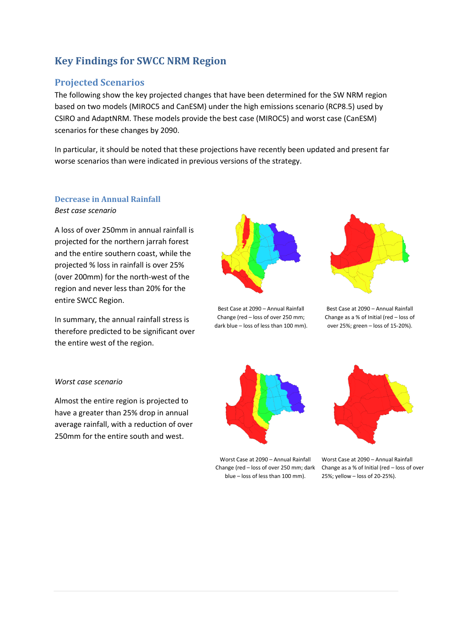# **Key Findings for SWCC NRM Region**

## **Projected Scenarios**

The following show the key projected changes that have been determined for the SW NRM region based on two models (MIROC5 and CanESM) under the high emissions scenario (RCP8.5) used by CSIRO and AdaptNRM. These models provide the best case (MIROC5) and worst case (CanESM) scenarios for these changes by 2090.

In particular, it should be noted that these projections have recently been updated and present far worse scenarios than were indicated in previous versions of the strategy.

#### **Decrease in Annual Rainfall** *Best case scenario*

A loss of over 250mm in annual rainfall is projected for the northern jarrah forest and the entire southern coast, while the projected % loss in rainfall is over 25% (over 200mm) for the north-west of the region and never less than 20% for the entire SWCC Region.

In summary, the annual rainfall stress is therefore predicted to be significant over the entire west of the region.



Best Case at 2090 – Annual Rainfall Change (red – loss of over 250 mm; dark blue – loss of less than 100 mm).



Best Case at 2090 – Annual Rainfall Change as a % of Initial (red – loss of over 25%; green – loss of 15-20%).

## *Worst case scenario*

Almost the entire region is projected to have a greater than 25% drop in annual average rainfall, with a reduction of over 250mm for the entire south and west.



Worst Case at 2090 – Annual Rainfall blue – loss of less than 100 mm).



Change (red  $-$  loss of over 250 mm; dark Change as a % of Initial (red  $-$  loss of over Worst Case at 2090 – Annual Rainfall 25%; yellow – loss of 20-25%).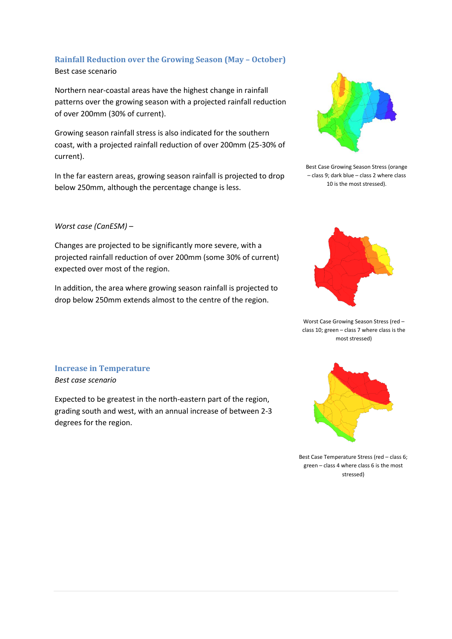## **Rainfall Reduction over the Growing Season (May – October)** Best case scenario

Northern near-coastal areas have the highest change in rainfall patterns over the growing season with a projected rainfall reduction of over 200mm (30% of current).

Growing season rainfall stress is also indicated for the southern coast, with a projected rainfall reduction of over 200mm (25-30% of current).

In the far eastern areas, growing season rainfall is projected to drop below 250mm, although the percentage change is less.

## *Worst case (CanESM) –*

Changes are projected to be significantly more severe, with a projected rainfall reduction of over 200mm (some 30% of current) expected over most of the region.

In addition, the area where growing season rainfall is projected to drop below 250mm extends almost to the centre of the region.



Best Case Growing Season Stress (orange – class 9; dark blue – class 2 where class 10 is the most stressed).



Worst Case Growing Season Stress (red – class 10; green – class 7 where class is the most stressed)

#### **Increase in Temperature** *Best case scenario*

Expected to be greatest in the north-eastern part of the region, grading south and west, with an annual increase of between 2-3 degrees for the region.



Best Case Temperature Stress (red – class 6; green – class 4 where class 6 is the most stressed)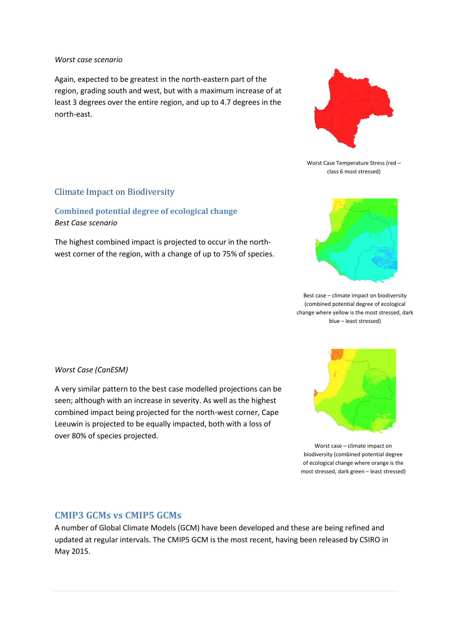#### *Worst case scenario*

Again, expected to be greatest in the north-eastern part of the region, grading south and west, but with a maximum increase of at least 3 degrees over the entire region, and up to 4.7 degrees in the north-east.



Worst Case Temperature Stress (red – class 6 most stressed)

## Climate Impact on Biodiversity

## **Combined potential degree of ecological change** *Best Case scenario*

The highest combined impact is projected to occur in the northwest corner of the region, with a change of up to 75% of species.



Best case – climate impact on biodiversity (combined potential degree of ecological change where yellow is the most stressed, dark blue – least stressed)

Worst case – climate impact on biodiversity (combined potential degree of ecological change where orange is the most stressed, dark green – least stressed)

#### *Worst Case (CanESM)*

A very similar pattern to the best case modelled projections can be seen; although with an increase in severity. As well as the highest combined impact being projected for the north-west corner, Cape Leeuwin is projected to be equally impacted, both with a loss of over 80% of species projected.

## **CMIP3 GCMs vs CMIP5 GCMs**

A number of Global Climate Models (GCM) have been developed and these are being refined and updated at regular intervals. The CMIP5 GCM is the most recent, having been released by CSIRO in May 2015.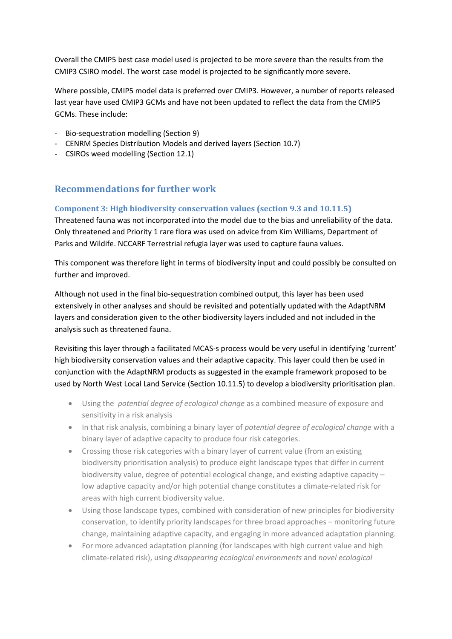Overall the CMIP5 best case model used is projected to be more severe than the results from the CMIP3 CSIRO model. The worst case model is projected to be significantly more severe.

Where possible, CMIP5 model data is preferred over CMIP3. However, a number of reports released last year have used CMIP3 GCMs and have not been updated to reflect the data from the CMIP5 GCMs. These include:

- Bio-sequestration modelling (Section 9)
- CENRM Species Distribution Models and derived layers (Section 10.7)
- CSIROs weed modelling (Section 12.1)

## **Recommendations for further work**

#### **Component 3: High biodiversity conservation values (section 9.3 and 10.11.5)**

Threatened fauna was not incorporated into the model due to the bias and unreliability of the data. Only threatened and Priority 1 rare flora was used on advice from Kim Williams, Department of Parks and Wildife. NCCARF Terrestrial refugia layer was used to capture fauna values.

This component was therefore light in terms of biodiversity input and could possibly be consulted on further and improved.

Although not used in the final bio-sequestration combined output, this layer has been used extensively in other analyses and should be revisited and potentially updated with the AdaptNRM layers and consideration given to the other biodiversity layers included and not included in the analysis such as threatened fauna.

Revisiting this layer through a facilitated MCAS-s process would be very useful in identifying 'current' high biodiversity conservation values and their adaptive capacity. This layer could then be used in conjunction with the AdaptNRM products as suggested in the example framework proposed to be used by North West Local Land Service (Section 10.11.5) to develop a biodiversity prioritisation plan.

- Using the *potential degree of ecological change* as a combined measure of exposure and sensitivity in a risk analysis
- In that risk analysis, combining a binary layer of *potential degree of ecological change* with a binary layer of adaptive capacity to produce four risk categories.
- Crossing those risk categories with a binary layer of current value (from an existing biodiversity prioritisation analysis) to produce eight landscape types that differ in current biodiversity value, degree of potential ecological change, and existing adaptive capacity – low adaptive capacity and/or high potential change constitutes a climate-related risk for areas with high current biodiversity value.
- Using those landscape types, combined with consideration of new principles for biodiversity conservation, to identify priority landscapes for three broad approaches – monitoring future change, maintaining adaptive capacity, and engaging in more advanced adaptation planning.
- For more advanced adaptation planning (for landscapes with high current value and high climate-related risk), using *disappearing ecological environments* and *novel ecological*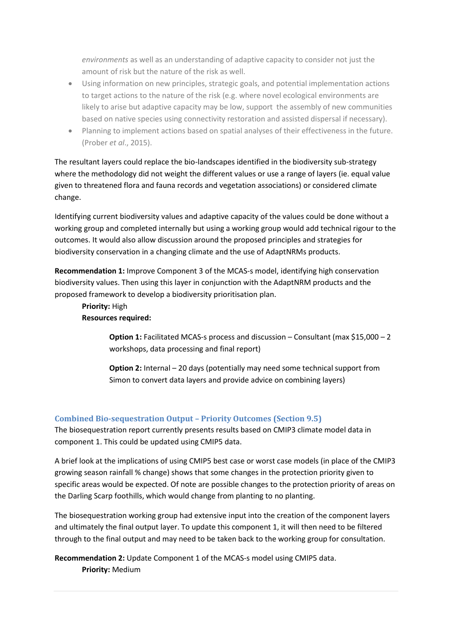*environments* as well as an understanding of adaptive capacity to consider not just the amount of risk but the nature of the risk as well.

- Using information on new principles, strategic goals, and potential implementation actions to target actions to the nature of the risk (e.g. where novel ecological environments are likely to arise but adaptive capacity may be low, support the assembly of new communities based on native species using connectivity restoration and assisted dispersal if necessary).
- Planning to implement actions based on spatial analyses of their effectiveness in the future. (Prober *et al*., 2015).

The resultant layers could replace the bio-landscapes identified in the biodiversity sub-strategy where the methodology did not weight the different values or use a range of layers (ie. equal value given to threatened flora and fauna records and vegetation associations) or considered climate change.

Identifying current biodiversity values and adaptive capacity of the values could be done without a working group and completed internally but using a working group would add technical rigour to the outcomes. It would also allow discussion around the proposed principles and strategies for biodiversity conservation in a changing climate and the use of AdaptNRMs products.

**Recommendation 1:** Improve Component 3 of the MCAS-s model, identifying high conservation biodiversity values. Then using this layer in conjunction with the AdaptNRM products and the proposed framework to develop a biodiversity prioritisation plan.

## **Priority:** High **Resources required:**

**Option 1:** Facilitated MCAS-s process and discussion – Consultant (max \$15,000 – 2 workshops, data processing and final report)

**Option 2:** Internal – 20 days (potentially may need some technical support from Simon to convert data layers and provide advice on combining layers)

## **Combined Bio-sequestration Output – Priority Outcomes (Section 9.5)**

The biosequestration report currently presents results based on CMIP3 climate model data in component 1. This could be updated using CMIP5 data.

A brief look at the implications of using CMIP5 best case or worst case models (in place of the CMIP3 growing season rainfall % change) shows that some changes in the protection priority given to specific areas would be expected. Of note are possible changes to the protection priority of areas on the Darling Scarp foothills, which would change from planting to no planting.

The biosequestration working group had extensive input into the creation of the component layers and ultimately the final output layer. To update this component 1, it will then need to be filtered through to the final output and may need to be taken back to the working group for consultation.

**Recommendation 2:** Update Component 1 of the MCAS-s model using CMIP5 data. **Priority:** Medium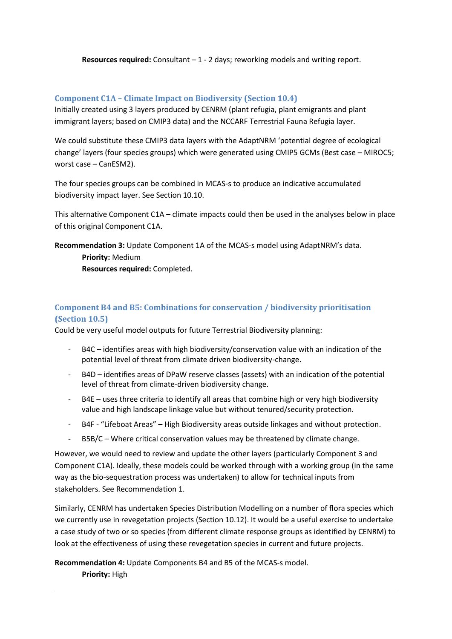**Resources required:** Consultant – 1 - 2 days; reworking models and writing report.

## **Component C1A – Climate Impact on Biodiversity (Section 10.4)**

Initially created using 3 layers produced by CENRM (plant refugia, plant emigrants and plant immigrant layers; based on CMIP3 data) and the NCCARF Terrestrial Fauna Refugia layer.

We could substitute these CMIP3 data layers with the AdaptNRM 'potential degree of ecological change' layers (four species groups) which were generated using CMIP5 GCMs (Best case – MIROC5; worst case – CanESM2).

The four species groups can be combined in MCAS-s to produce an indicative accumulated biodiversity impact layer. See Section 10.10.

This alternative Component C1A – climate impacts could then be used in the analyses below in place of this original Component C1A.

**Recommendation 3:** Update Component 1A of the MCAS-s model using AdaptNRM's data. **Priority:** Medium

**Resources required:** Completed.

## **Component B4 and B5: Combinations for conservation / biodiversity prioritisation (Section 10.5)**

Could be very useful model outputs for future Terrestrial Biodiversity planning:

- B4C identifies areas with high biodiversity/conservation value with an indication of the potential level of threat from climate driven biodiversity-change.
- B4D identifies areas of DPaW reserve classes (assets) with an indication of the potential level of threat from climate-driven biodiversity change.
- B4E uses three criteria to identify all areas that combine high or very high biodiversity value and high landscape linkage value but without tenured/security protection.
- B4F "Lifeboat Areas" High Biodiversity areas outside linkages and without protection.
- B5B/C Where critical conservation values may be threatened by climate change.

However, we would need to review and update the other layers (particularly Component 3 and Component C1A). Ideally, these models could be worked through with a working group (in the same way as the bio-sequestration process was undertaken) to allow for technical inputs from stakeholders. See Recommendation 1.

Similarly, CENRM has undertaken Species Distribution Modelling on a number of flora species which we currently use in revegetation projects (Section 10.12). It would be a useful exercise to undertake a case study of two or so species (from different climate response groups as identified by CENRM) to look at the effectiveness of using these revegetation species in current and future projects.

**Recommendation 4:** Update Components B4 and B5 of the MCAS-s model. **Priority:** High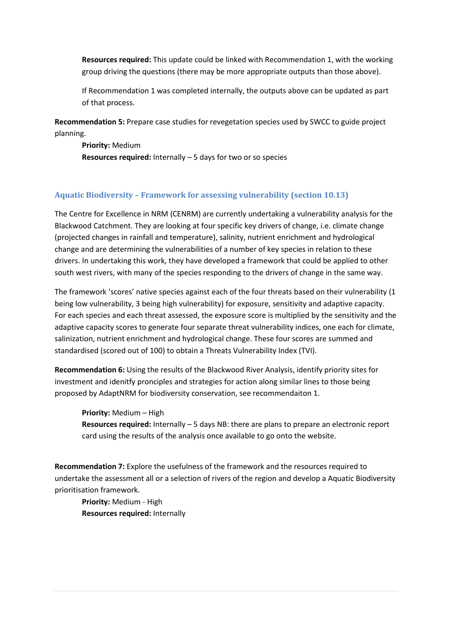**Resources required:** This update could be linked with Recommendation 1, with the working group driving the questions (there may be more appropriate outputs than those above).

If Recommendation 1 was completed internally, the outputs above can be updated as part of that process.

**Recommendation 5:** Prepare case studies for revegetation species used by SWCC to guide project planning.

**Priority:** Medium **Resources required:** Internally – 5 days for two or so species

#### **Aquatic Biodiversity – Framework for assessing vulnerability (section 10.13)**

The Centre for Excellence in NRM (CENRM) are currently undertaking a vulnerability analysis for the Blackwood Catchment. They are looking at four specific key drivers of change, i.e. climate change (projected changes in rainfall and temperature), salinity, nutrient enrichment and hydrological change and are determining the vulnerabilities of a number of key species in relation to these drivers. In undertaking this work, they have developed a framework that could be applied to other south west rivers, with many of the species responding to the drivers of change in the same way.

The framework 'scores' native species against each of the four threats based on their vulnerability (1 being low vulnerability, 3 being high vulnerability) for exposure, sensitivity and adaptive capacity. For each species and each threat assessed, the exposure score is multiplied by the sensitivity and the adaptive capacity scores to generate four separate threat vulnerability indices, one each for climate, salinization, nutrient enrichment and hydrological change. These four scores are summed and standardised (scored out of 100) to obtain a Threats Vulnerability Index (TVI).

**Recommendation 6:** Using the results of the Blackwood River Analysis, identify priority sites for investment and idenitfy pronciples and strategies for action along similar lines to those being proposed by AdaptNRM for biodiversity conservation, see recommendaiton 1.

**Priority:** Medium – High

**Resources required:** Internally – 5 days NB: there are plans to prepare an electronic report card using the results of the analysis once available to go onto the website.

**Recommendation 7:** Explore the usefulness of the framework and the resources required to undertake the assessment all or a selection of rivers of the region and develop a Aquatic Biodiversity prioritisation framework.

**Priority:** Medium - High **Resources required:** Internally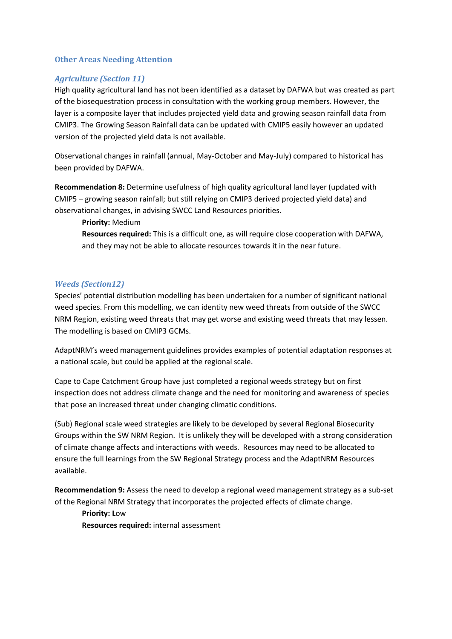#### **Other Areas Needing Attention**

## *Agriculture (Section 11)*

High quality agricultural land has not been identified as a dataset by DAFWA but was created as part of the biosequestration process in consultation with the working group members. However, the layer is a composite layer that includes projected yield data and growing season rainfall data from CMIP3. The Growing Season Rainfall data can be updated with CMIP5 easily however an updated version of the projected yield data is not available.

Observational changes in rainfall (annual, May-October and May-July) compared to historical has been provided by DAFWA.

**Recommendation 8:** Determine usefulness of high quality agricultural land layer (updated with CMIP5 – growing season rainfall; but still relying on CMIP3 derived projected yield data) and observational changes, in advising SWCC Land Resources priorities.

**Priority:** Medium

**Resources required:** This is a difficult one, as will require close cooperation with DAFWA, and they may not be able to allocate resources towards it in the near future.

#### *Weeds (Section12)*

Species' potential distribution modelling has been undertaken for a number of significant national weed species. From this modelling, we can identity new weed threats from outside of the SWCC NRM Region, existing weed threats that may get worse and existing weed threats that may lessen. The modelling is based on CMIP3 GCMs.

AdaptNRM's weed management guidelines provides examples of potential adaptation responses at a national scale, but could be applied at the regional scale.

Cape to Cape Catchment Group have just completed a regional weeds strategy but on first inspection does not address climate change and the need for monitoring and awareness of species that pose an increased threat under changing climatic conditions.

(Sub) Regional scale weed strategies are likely to be developed by several Regional Biosecurity Groups within the SW NRM Region. It is unlikely they will be developed with a strong consideration of climate change affects and interactions with weeds. Resources may need to be allocated to ensure the full learnings from the SW Regional Strategy process and the AdaptNRM Resources available.

**Recommendation 9:** Assess the need to develop a regional weed management strategy as a sub-set of the Regional NRM Strategy that incorporates the projected effects of climate change.

**Priority: L**ow

**Resources required:** internal assessment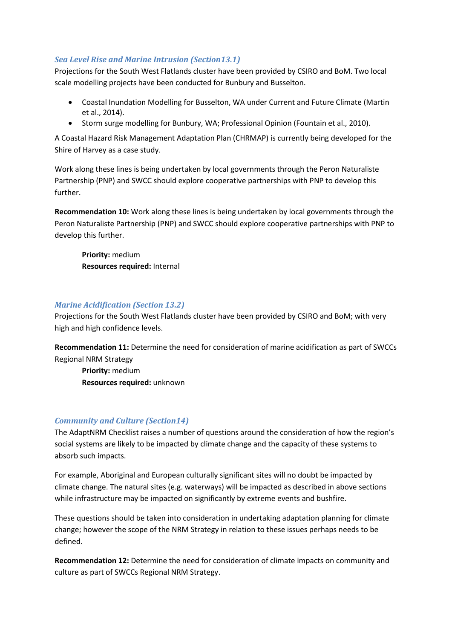## *Sea Level Rise and Marine Intrusion (Section13.1)*

Projections for the South West Flatlands cluster have been provided by CSIRO and BoM. Two local scale modelling projects have been conducted for Bunbury and Busselton.

- Coastal Inundation Modelling for Busselton, WA under Current and Future Climate (Martin et al., 2014).
- Storm surge modelling for Bunbury, WA; Professional Opinion (Fountain et al., 2010).

A Coastal Hazard Risk Management Adaptation Plan (CHRMAP) is currently being developed for the Shire of Harvey as a case study.

Work along these lines is being undertaken by local governments through the Peron Naturaliste Partnership (PNP) and SWCC should explore cooperative partnerships with PNP to develop this further.

**Recommendation 10:** Work along these lines is being undertaken by local governments through the Peron Naturaliste Partnership (PNP) and SWCC should explore cooperative partnerships with PNP to develop this further.

**Priority:** medium **Resources required:** Internal

## *Marine Acidification (Section 13.2)*

Projections for the South West Flatlands cluster have been provided by CSIRO and BoM; with very high and high confidence levels.

**Recommendation 11:** Determine the need for consideration of marine acidification as part of SWCCs Regional NRM Strategy

**Priority:** medium **Resources required:** unknown

## *Community and Culture (Section14)*

The AdaptNRM Checklist raises a number of questions around the consideration of how the region's social systems are likely to be impacted by climate change and the capacity of these systems to absorb such impacts.

For example, Aboriginal and European culturally significant sites will no doubt be impacted by climate change. The natural sites (e.g. waterways) will be impacted as described in above sections while infrastructure may be impacted on significantly by extreme events and bushfire.

These questions should be taken into consideration in undertaking adaptation planning for climate change; however the scope of the NRM Strategy in relation to these issues perhaps needs to be defined.

**Recommendation 12:** Determine the need for consideration of climate impacts on community and culture as part of SWCCs Regional NRM Strategy.